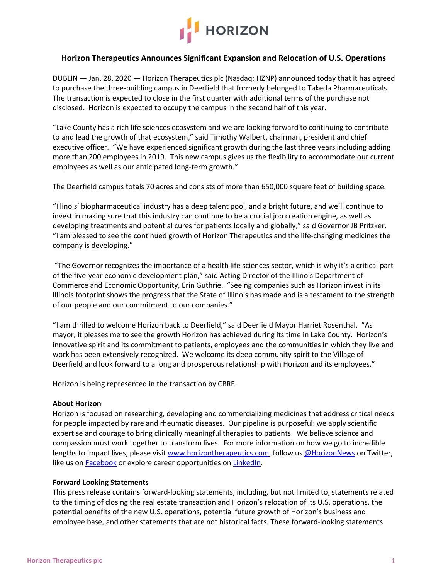

## **Horizon Therapeutics Announces Significant Expansion and Relocation of U.S. Operations**

DUBLIN — Jan. 28, 2020 — Horizon Therapeutics plc (Nasdaq: HZNP) announced today that it has agreed to purchase the three-building campus in Deerfield that formerly belonged to Takeda Pharmaceuticals. The transaction is expected to close in the first quarter with additional terms of the purchase not disclosed. Horizon is expected to occupy the campus in the second half of this year.

"Lake County has a rich life sciences ecosystem and we are looking forward to continuing to contribute to and lead the growth of that ecosystem," said Timothy Walbert, chairman, president and chief executive officer. "We have experienced significant growth during the last three years including adding more than 200 employees in 2019. This new campus gives us the flexibility to accommodate our current employees as well as our anticipated long-term growth."

The Deerfield campus totals 70 acres and consists of more than 650,000 square feet of building space.

"Illinois' biopharmaceutical industry has a deep talent pool, and a bright future, and we'll continue to invest in making sure that this industry can continue to be a crucial job creation engine, as well as developing treatments and potential cures for patients locally and globally," said Governor JB Pritzker. "I am pleased to see the continued growth of Horizon Therapeutics and the life-changing medicines the company is developing."

"The Governor recognizes the importance of a health life sciences sector, which is why it's a critical part of the five-year economic development plan," said Acting Director of the Illinois Department of Commerce and Economic Opportunity, Erin Guthrie. "Seeing companies such as Horizon invest in its Illinois footprint shows the progress that the State of Illinois has made and is a testament to the strength of our people and our commitment to our companies."

"I am thrilled to welcome Horizon back to Deerfield," said Deerfield Mayor Harriet Rosenthal. "As mayor, it pleases me to see the growth Horizon has achieved during its time in Lake County. Horizon's innovative spirit and its commitment to patients, employees and the communities in which they live and work has been extensively recognized. We welcome its deep community spirit to the Village of Deerfield and look forward to a long and prosperous relationship with Horizon and its employees."

Horizon is being represented in the transaction by CBRE.

## **About Horizon**

Horizon is focused on researching, developing and commercializing medicines that address critical needs for people impacted by rare and rheumatic diseases. Our pipeline is purposeful: we apply scientific expertise and courage to bring clinically meaningful therapies to patients. We believe science and compassion must work together to transform lives. For more information on how we go to incredible lengths to impact lives, please visit [www.horizontherapeutics.com,](https://cts.businesswire.com/ct/CT?id=smartlink&url=https%3A%2F%2Fwww.horizontherapeutics.com%2F&esheet=52015069&newsitemid=20190718005190&lan=en-US&anchor=www.horizontherapeutics.com&index=2&md5=23c2d265eeb30962ec58fa53e08dad35) follow us [@HorizonNews](https://cts.businesswire.com/ct/CT?id=smartlink&url=https%3A%2F%2Ftwitter.com%2FHorizonNews&esheet=52015069&newsitemid=20190718005190&lan=en-US&anchor=%40HorizonNews&index=3&md5=6051a3e309fa1a9cac07d9ba61a0b78d) on Twitter, like us on **[Facebook](https://cts.businesswire.com/ct/CT?id=smartlink&url=https%3A%2F%2Fwww.facebook.com%2FHorizonTherapeutics%2F&esheet=52015069&newsitemid=20190718005190&lan=en-US&anchor=Facebook&index=4&md5=bbc8bbcc0505405e3b170854d6817fd2)** or explore career opportunities on **LinkedIn**.

## **Forward Looking Statements**

This press release contains forward-looking statements, including, but not limited to, statements related to the timing of closing the real estate transaction and Horizon's relocation of its U.S. operations, the potential benefits of the new U.S. operations, potential future growth of Horizon's business and employee base, and other statements that are not historical facts. These forward-looking statements